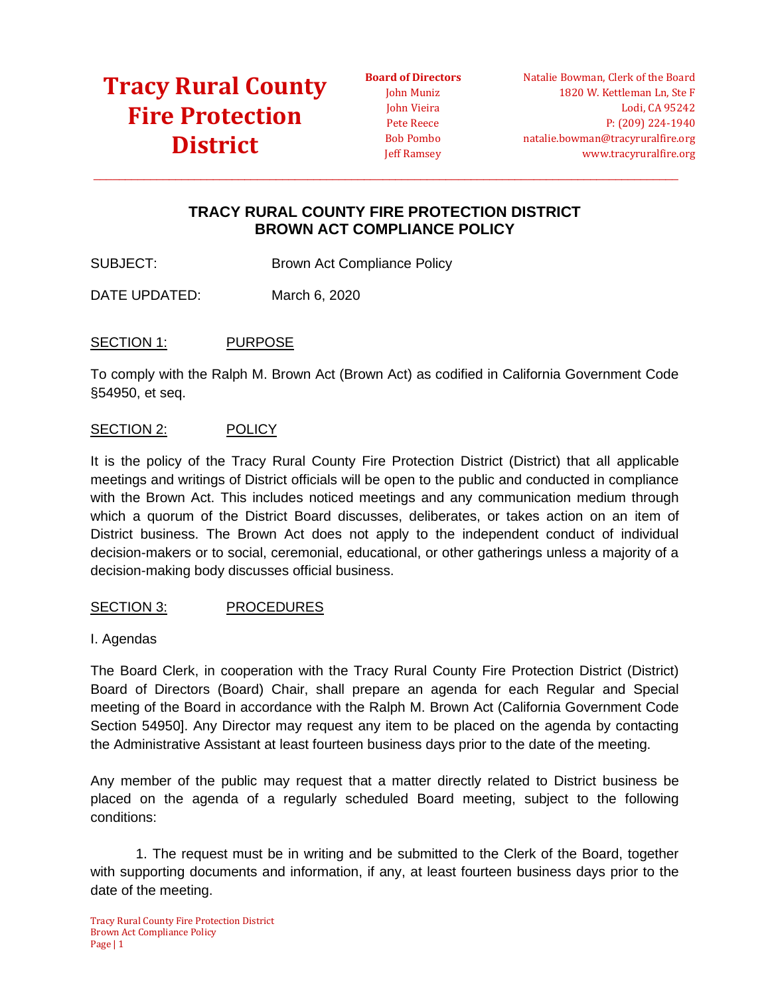**Board of Directors** John Muniz John Vieira Pete Reece Bob Pombo Jeff Ramsey

Natalie Bowman, Clerk of the Board 1820 W. Kettleman Ln, Ste F Lodi, CA 95242 P: (209) 224-1940 natalie.bowman@tracyruralfire.org www.tracyruralfire.org

### **TRACY RURAL COUNTY FIRE PROTECTION DISTRICT BROWN ACT COMPLIANCE POLICY**

 $\_$  ,  $\_$  ,  $\_$  ,  $\_$  ,  $\_$  ,  $\_$  ,  $\_$  ,  $\_$  ,  $\_$  ,  $\_$  ,  $\_$  ,  $\_$  ,  $\_$  ,  $\_$  ,  $\_$  ,  $\_$  ,  $\_$  ,  $\_$  ,  $\_$  ,  $\_$  ,  $\_$  ,  $\_$  ,  $\_$  ,  $\_$  ,  $\_$  ,  $\_$  ,  $\_$  ,  $\_$  ,  $\_$  ,  $\_$  ,  $\_$  ,  $\_$  ,  $\_$  ,  $\_$  ,  $\_$  ,  $\_$  ,  $\_$  ,

SUBJECT: Brown Act Compliance Policy

DATE UPDATED: March 6, 2020

#### SECTION 1: PURPOSE

To comply with the Ralph M. Brown Act (Brown Act) as codified in California Government Code §54950, et seq.

#### SECTION 2: POLICY

It is the policy of the Tracy Rural County Fire Protection District (District) that all applicable meetings and writings of District officials will be open to the public and conducted in compliance with the Brown Act. This includes noticed meetings and any communication medium through which a quorum of the District Board discusses, deliberates, or takes action on an item of District business. The Brown Act does not apply to the independent conduct of individual decision-makers or to social, ceremonial, educational, or other gatherings unless a majority of a decision-making body discusses official business.

#### SECTION 3: PROCEDURES

I. Agendas

The Board Clerk, in cooperation with the Tracy Rural County Fire Protection District (District) Board of Directors (Board) Chair, shall prepare an agenda for each Regular and Special meeting of the Board in accordance with the Ralph M. Brown Act (California Government Code Section 54950]. Any Director may request any item to be placed on the agenda by contacting the Administrative Assistant at least fourteen business days prior to the date of the meeting.

Any member of the public may request that a matter directly related to District business be placed on the agenda of a regularly scheduled Board meeting, subject to the following conditions:

1. The request must be in writing and be submitted to the Clerk of the Board, together with supporting documents and information, if any, at least fourteen business days prior to the date of the meeting.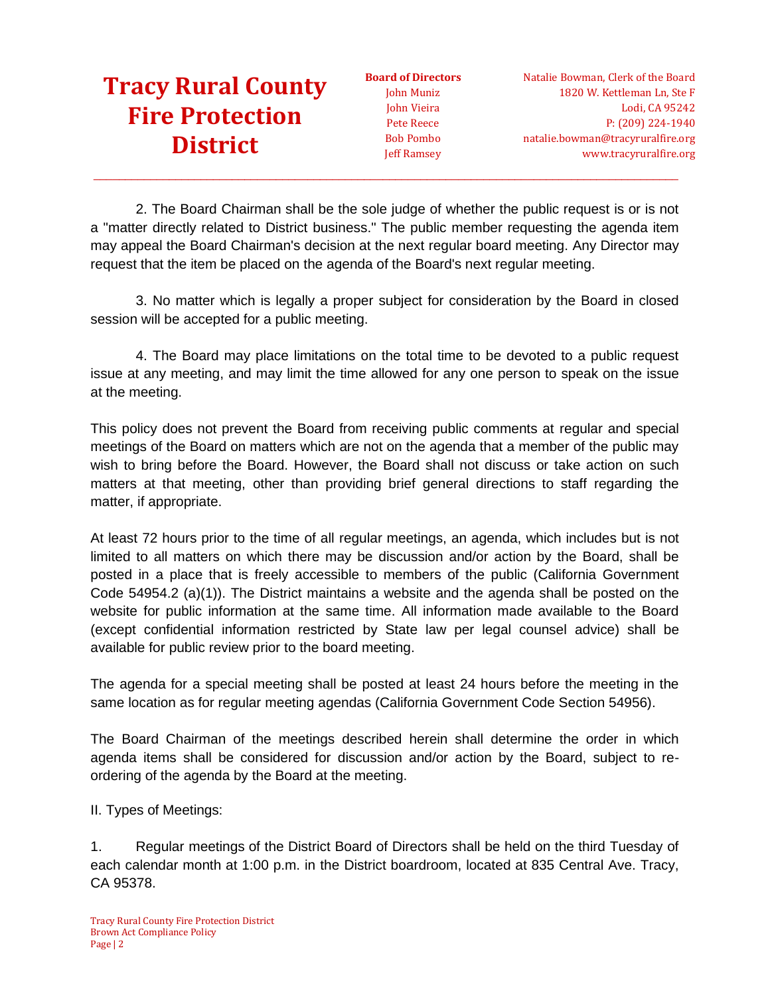**Board of Directors** John Muniz John Vieira Pete Reece Bob Pombo Jeff Ramsey

2. The Board Chairman shall be the sole judge of whether the public request is or is not a "matter directly related to District business." The public member requesting the agenda item may appeal the Board Chairman's decision at the next regular board meeting. Any Director may request that the item be placed on the agenda of the Board's next regular meeting.

 $\_$  ,  $\_$  ,  $\_$  ,  $\_$  ,  $\_$  ,  $\_$  ,  $\_$  ,  $\_$  ,  $\_$  ,  $\_$  ,  $\_$  ,  $\_$  ,  $\_$  ,  $\_$  ,  $\_$  ,  $\_$  ,  $\_$  ,  $\_$  ,  $\_$  ,  $\_$  ,  $\_$  ,  $\_$  ,  $\_$  ,  $\_$  ,  $\_$  ,  $\_$  ,  $\_$  ,  $\_$  ,  $\_$  ,  $\_$  ,  $\_$  ,  $\_$  ,  $\_$  ,  $\_$  ,  $\_$  ,  $\_$  ,  $\_$  ,

3. No matter which is legally a proper subject for consideration by the Board in closed session will be accepted for a public meeting.

4. The Board may place limitations on the total time to be devoted to a public request issue at any meeting, and may limit the time allowed for any one person to speak on the issue at the meeting.

This policy does not prevent the Board from receiving public comments at regular and special meetings of the Board on matters which are not on the agenda that a member of the public may wish to bring before the Board. However, the Board shall not discuss or take action on such matters at that meeting, other than providing brief general directions to staff regarding the matter, if appropriate.

At least 72 hours prior to the time of all regular meetings, an agenda, which includes but is not limited to all matters on which there may be discussion and/or action by the Board, shall be posted in a place that is freely accessible to members of the public (California Government Code 54954.2 (a)(1)). The District maintains a website and the agenda shall be posted on the website for public information at the same time. All information made available to the Board (except confidential information restricted by State law per legal counsel advice) shall be available for public review prior to the board meeting.

The agenda for a special meeting shall be posted at least 24 hours before the meeting in the same location as for regular meeting agendas (California Government Code Section 54956).

The Board Chairman of the meetings described herein shall determine the order in which agenda items shall be considered for discussion and/or action by the Board, subject to reordering of the agenda by the Board at the meeting.

II. Types of Meetings:

1. Regular meetings of the District Board of Directors shall be held on the third Tuesday of each calendar month at 1:00 p.m. in the District boardroom, located at 835 Central Ave. Tracy, CA 95378.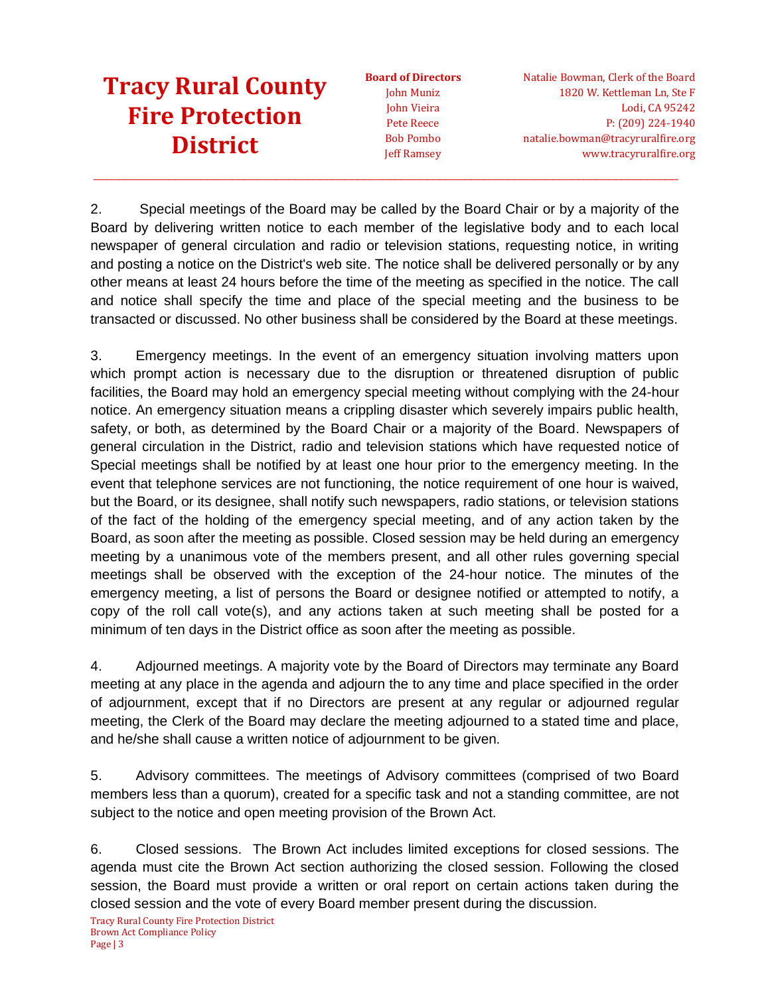**Board of Directors** John Muniz John Vieira Pete Reece Bob Pombo Jeff Ramsey

Natalie Bowman, Clerk of the Board 1820 W. Kettleman Ln, Ste F Lodi, CA 95242 P: (209) 224-1940 natalie.bowman@tracyruralfire.org www.tracyruralfire.org

2. Special meetings of the Board may be called by the Board Chair or by a majority of the Board by delivering written notice to each member of the legislative body and to each local newspaper of general circulation and radio or television stations, requesting notice, in writing and posting a notice on the District's web site. The notice shall be delivered personally or by any other means at least 24 hours before the time of the meeting as specified in the notice. The call and notice shall specify the time and place of the special meeting and the business to be transacted or discussed. No other business shall be considered by the Board at these meetings.

 $\_$  ,  $\_$  ,  $\_$  ,  $\_$  ,  $\_$  ,  $\_$  ,  $\_$  ,  $\_$  ,  $\_$  ,  $\_$  ,  $\_$  ,  $\_$  ,  $\_$  ,  $\_$  ,  $\_$  ,  $\_$  ,  $\_$  ,  $\_$  ,  $\_$  ,  $\_$  ,  $\_$  ,  $\_$  ,  $\_$  ,  $\_$  ,  $\_$  ,  $\_$  ,  $\_$  ,  $\_$  ,  $\_$  ,  $\_$  ,  $\_$  ,  $\_$  ,  $\_$  ,  $\_$  ,  $\_$  ,  $\_$  ,  $\_$  ,

3. Emergency meetings. In the event of an emergency situation involving matters upon which prompt action is necessary due to the disruption or threatened disruption of public facilities, the Board may hold an emergency special meeting without complying with the 24-hour notice. An emergency situation means a crippling disaster which severely impairs public health, safety, or both, as determined by the Board Chair or a majority of the Board. Newspapers of general circulation in the District, radio and television stations which have requested notice of Special meetings shall be notified by at least one hour prior to the emergency meeting. In the event that telephone services are not functioning, the notice requirement of one hour is waived, but the Board, or its designee, shall notify such newspapers, radio stations, or television stations of the fact of the holding of the emergency special meeting, and of any action taken by the Board, as soon after the meeting as possible. Closed session may be held during an emergency meeting by a unanimous vote of the members present, and all other rules governing special meetings shall be observed with the exception of the 24-hour notice. The minutes of the emergency meeting, a list of persons the Board or designee notified or attempted to notify, a copy of the roll call vote(s), and any actions taken at such meeting shall be posted for a minimum of ten days in the District office as soon after the meeting as possible.

4. Adjourned meetings. A majority vote by the Board of Directors may terminate any Board meeting at any place in the agenda and adjourn the to any time and place specified in the order of adjournment, except that if no Directors are present at any regular or adjourned regular meeting, the Clerk of the Board may declare the meeting adjourned to a stated time and place, and he/she shall cause a written notice of adjournment to be given.

5. Advisory committees. The meetings of Advisory committees (comprised of two Board members less than a quorum), created for a specific task and not a standing committee, are not subject to the notice and open meeting provision of the Brown Act.

6. Closed sessions. The Brown Act includes limited exceptions for closed sessions. The agenda must cite the Brown Act section authorizing the closed session. Following the closed session, the Board must provide a written or oral report on certain actions taken during the closed session and the vote of every Board member present during the discussion.